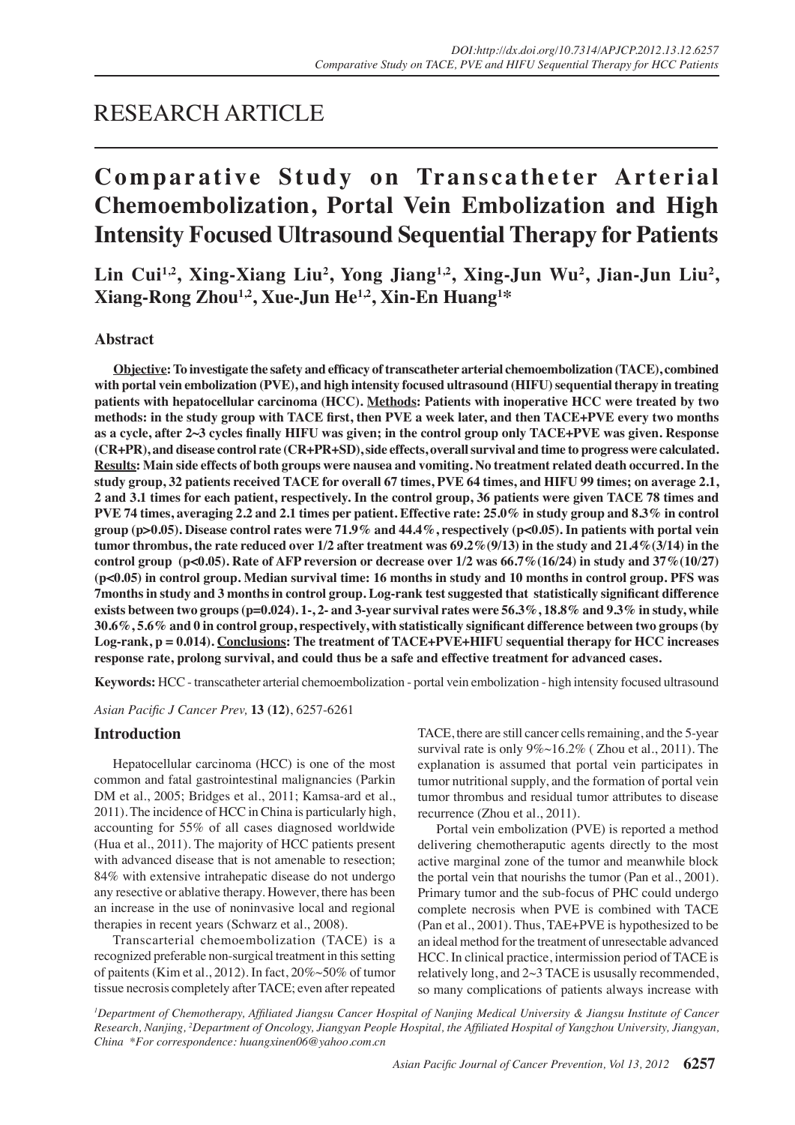## RESEARCH ARTICLE

# **Comparative Study on Transcatheter Arterial Chemoembolization, Portal Vein Embolization and High Intensity Focused Ultrasound Sequential Therapy for Patients**

Lin Cui<sup>1,2</sup>, Xing-Xiang Liu<sup>2</sup>, Yong Jiang<sup>1,2</sup>, Xing-Jun Wu<sup>2</sup>, Jian-Jun Liu<sup>2</sup>, **Xiang-Rong Zhou1,2, Xue-Jun He1,2, Xin-En Huang<sup>1</sup> \***

## **Abstract**

**Objective: To investigate the safety and efficacy of transcatheter arterial chemoembolization (TACE), combined with portal vein embolization (PVE), and high intensity focused ultrasound (HIFU) sequential therapy in treating patients with hepatocellular carcinoma (HCC). Methods: Patients with inoperative HCC were treated by two methods: in the study group with TACE first, then PVE a week later, and then TACE+PVE every two months as a cycle, after 2~3 cycles finally HIFU was given; in the control group only TACE+PVE was given. Response (CR+PR), and disease control rate (CR+PR+SD), side effects, overall survival and time to progress were calculated. Results: Main side effects of both groups were nausea and vomiting. No treatment related death occurred. In the study group, 32 patients received TACE for overall 67 times, PVE 64 times, and HIFU 99 times; on average 2.1, 2 and 3.1 times for each patient, respectively. In the control group, 36 patients were given TACE 78 times and PVE 74 times, averaging 2.2 and 2.1 times per patient. Effective rate: 25.0% in study group and 8.3% in control group (p>0.05). Disease control rates were 71.9% and 44.4%, respectively (p<0.05). In patients with portal vein tumor thrombus, the rate reduced over 1/2 after treatment was 69.2%(9/13) in the study and 21.4%(3/14) in the control group (p<0.05). Rate of AFP reversion or decrease over 1/2 was 66.7%(16/24) in study and 37%(10/27) (p<0.05) in control group. Median survival time: 16 months in study and 10 months in control group. PFS was 7months in study and 3 months in control group. Log-rank test suggested that statistically significant difference exists between two groups (p=0.024). 1-, 2- and 3-year survival rates were 56.3%, 18.8% and 9.3% in study, while 30.6%, 5.6% and 0 in control group, respectively, with statistically significant difference between two groups (by Log-rank, p = 0.014). Conclusions: The treatment of TACE+PVE+HIFU sequential therapy for HCC increases response rate, prolong survival, and could thus be a safe and effective treatment for advanced cases.** 

**Keywords:** HCC - transcatheter arterial chemoembolization - portal vein embolization - high intensity focused ultrasound

*Asian Pacific J Cancer Prev,* **13 (12)**, 6257-6261

## **Introduction**

Hepatocellular carcinoma (HCC) is one of the most common and fatal gastrointestinal malignancies (Parkin DM et al., 2005; Bridges et al., 2011; Kamsa-ard et al., 2011). The incidence of HCC in China is particularly high, accounting for 55% of all cases diagnosed worldwide (Hua et al., 2011). The majority of HCC patients present with advanced disease that is not amenable to resection; 84% with extensive intrahepatic disease do not undergo any resective or ablative therapy. However, there has been an increase in the use of noninvasive local and regional therapies in recent years (Schwarz et al., 2008).

Transcarterial chemoembolization (TACE) is a recognized preferable non-surgical treatment in this setting of paitents (Kim et al., 2012). In fact, 20%~50% of tumor tissue necrosis completely after TACE; even after repeated

TACE, there are still cancer cells remaining, and the 5-year survival rate is only  $9\% \sim 16.2\%$  (Zhou et al., 2011). The explanation is assumed that portal vein participates in tumor nutritional supply, and the formation of portal vein tumor thrombus and residual tumor attributes to disease recurrence (Zhou et al., 2011).

Portal vein embolization (PVE) is reported a method delivering chemotheraputic agents directly to the most active marginal zone of the tumor and meanwhile block the portal vein that nourishs the tumor (Pan et al., 2001). Primary tumor and the sub-focus of PHC could undergo complete necrosis when PVE is combined with TACE (Pan et al., 2001). Thus, TAE+PVE is hypothesized to be an ideal method for the treatment of unresectable advanced HCC. In clinical practice, intermission period of TACE is relatively long, and 2~3 TACE is ususally recommended, so many complications of patients always increase with

*1 Department of Chemotherapy, Affiliated Jiangsu Cancer Hospital of Nanjing Medical University & Jiangsu Institute of Cancer Research, Nanjing, <sup>2</sup> Department of Oncology, Jiangyan People Hospital, the Affiliated Hospital of Yangzhou University, Jiangyan, China \*For correspondence: huangxinen06@yahoo.com.cn*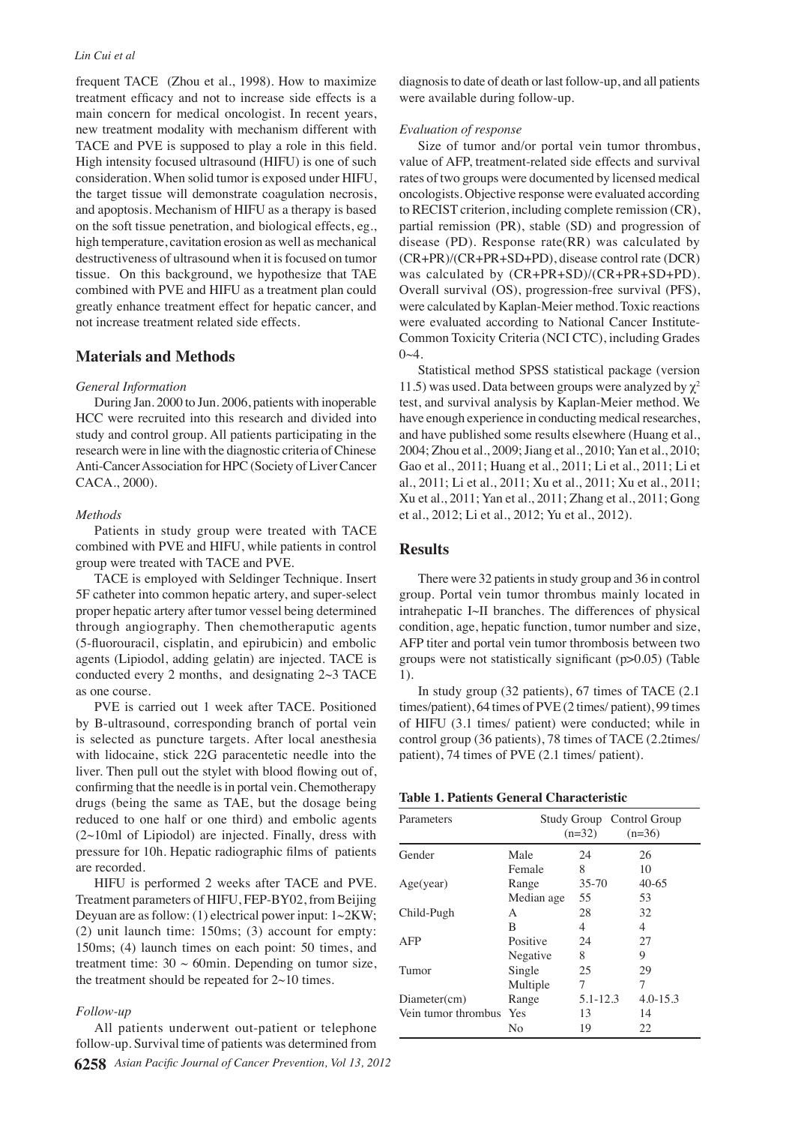#### *Lin Cui et al*

frequent TACE (Zhou et al., 1998). How to maximize treatment efficacy and not to increase side effects is a main concern for medical oncologist. In recent years, new treatment modality with mechanism different with TACE and PVE is supposed to play a role in this field. High intensity focused ultrasound (HIFU) is one of such consideration. When solid tumor is exposed under HIFU, the target tissue will demonstrate coagulation necrosis, and apoptosis. Mechanism of HIFU as a therapy is based on the soft tissue penetration, and biological effects, eg., high temperature, cavitation erosion as well as mechanical destructiveness of ultrasound when it is focused on tumor tissue. On this background, we hypothesize that TAE combined with PVE and HIFU as a treatment plan could greatly enhance treatment effect for hepatic cancer, and not increase treatment related side effects.

## **Materials and Methods**

#### *General Information*

During Jan. 2000 to Jun. 2006, patients with inoperable HCC were recruited into this research and divided into study and control group. All patients participating in the research were in line with the diagnostic criteria of Chinese Anti-Cancer Association for HPC (Society of Liver Cancer CACA., 2000).

#### *Methods*

Patients in study group were treated with TACE combined with PVE and HIFU, while patients in control group were treated with TACE and PVE.

TACE is employed with Seldinger Technique. Insert 5F catheter into common hepatic artery, and super-select proper hepatic artery after tumor vessel being determined through angiography. Then chemotheraputic agents (5-fluorouracil, cisplatin, and epirubicin) and embolic agents (Lipiodol, adding gelatin) are injected. TACE is conducted every 2 months, and designating  $2~3$  TACE as one course.

PVE is carried out 1 week after TACE. Positioned by B-ultrasound, corresponding branch of portal vein is selected as puncture targets. After local anesthesia with lidocaine, stick 22G paracentetic needle into the liver. Then pull out the stylet with blood flowing out of, confirming that the needle is in portal vein. Chemotherapy drugs (being the same as TAE, but the dosage being reduced to one half or one third) and embolic agents  $(2~10m)$  of Lipiodol) are injected. Finally, dress with pressure for 10h. Hepatic radiographic films of patients are recorded.

HIFU is performed 2 weeks after TACE and PVE. Treatment parameters of HIFU, FEP-BY02, from Beijing Deyuan are as follow: (1) electrical power input: 1~2KW; (2) unit launch time: 150ms; (3) account for empty: 150ms; (4) launch times on each point: 50 times, and treatment time:  $30 \sim 60$ min. Depending on tumor size, the treatment should be repeated for  $2~10$  times.

#### *Follow-up*

All patients underwent out-patient or telephone follow-up. Survival time of patients was determined from

diagnosis to date of death or last follow-up, and all patients were available during follow-up.

#### *Evaluation of response*

Size of tumor and/or portal vein tumor thrombus, value of AFP, treatment-related side effects and survival rates of two groups were documented by licensed medical oncologists. Objective response were evaluated according to RECIST criterion, including complete remission (CR), partial remission (PR), stable (SD) and progression of disease (PD). Response rate(RR) was calculated by (CR+PR)/(CR+PR+SD+PD), disease control rate (DCR) was calculated by (CR+PR+SD)/(CR+PR+SD+PD). Overall survival (OS), progression-free survival (PFS), were calculated by Kaplan-Meier method. Toxic reactions were evaluated according to National Cancer Institute-Common Toxicity Criteria (NCI CTC), including Grades  $0 - 4$ .

Statistical method SPSS statistical package (version 11.5) was used. Data between groups were analyzed by  $\chi^2$ test, and survival analysis by Kaplan-Meier method. We have enough experience in conducting medical researches, and have published some results elsewhere (Huang et al., 2004; Zhou et al., 2009; Jiang et al., 2010; Yan et al., 2010; Gao et al., 2011; Huang et al., 2011; Li et al., 2011; Li et al., 2011; Li et al., 2011; Xu et al., 2011; Xu et al., 2011; Xu et al., 2011; Yan et al., 2011; Zhang et al., 2011; Gong et al., 2012; Li et al., 2012; Yu et al., 2012).

## **Results**

There were 32 patients in study group and 36 in control group. Portal vein tumor thrombus mainly located in intrahepatic Ⅰ~Ⅱ branches. The differences of physical condition, age, hepatic function, tumor number and size, AFP titer and portal vein tumor thrombosis between two groups were not statistically significant (p>0.05) (Table 1).

In study group (32 patients), 67 times of TACE (2.1 times/patient), 64 times of PVE (2 times/ patient), 99 times of HIFU (3.1 times/ patient) were conducted; while in control group (36 patients), 78 times of TACE (2.2times/ patient), 74 times of PVE (2.1 times/ patient).

| Parameters              |            | Study Group Control Group<br>$(n=32)$ | $(n=36)$     |
|-------------------------|------------|---------------------------------------|--------------|
| Gender                  | Male       | 24                                    | 26           |
|                         | Female     | 8                                     | 10           |
| Age(year)               | Range      | $35 - 70$                             | $40-65$      |
|                         | Median age | 55                                    | 53           |
| Child-Pugh              | A          | 28                                    | 32           |
|                         | B          | 4                                     | 4            |
| AFP                     | Positive   | 24                                    | 27           |
|                         | Negative   | 8                                     | 9            |
| Tumor                   | Single     | 25                                    | 29           |
|                         | Multiple   | 7                                     | 7            |
| Diameter(cm)            | Range      | 5.1-12.3                              | $4.0 - 15.3$ |
| Vein tumor thrombus Yes |            | 13                                    | 14           |
|                         | No         | 19                                    | 22           |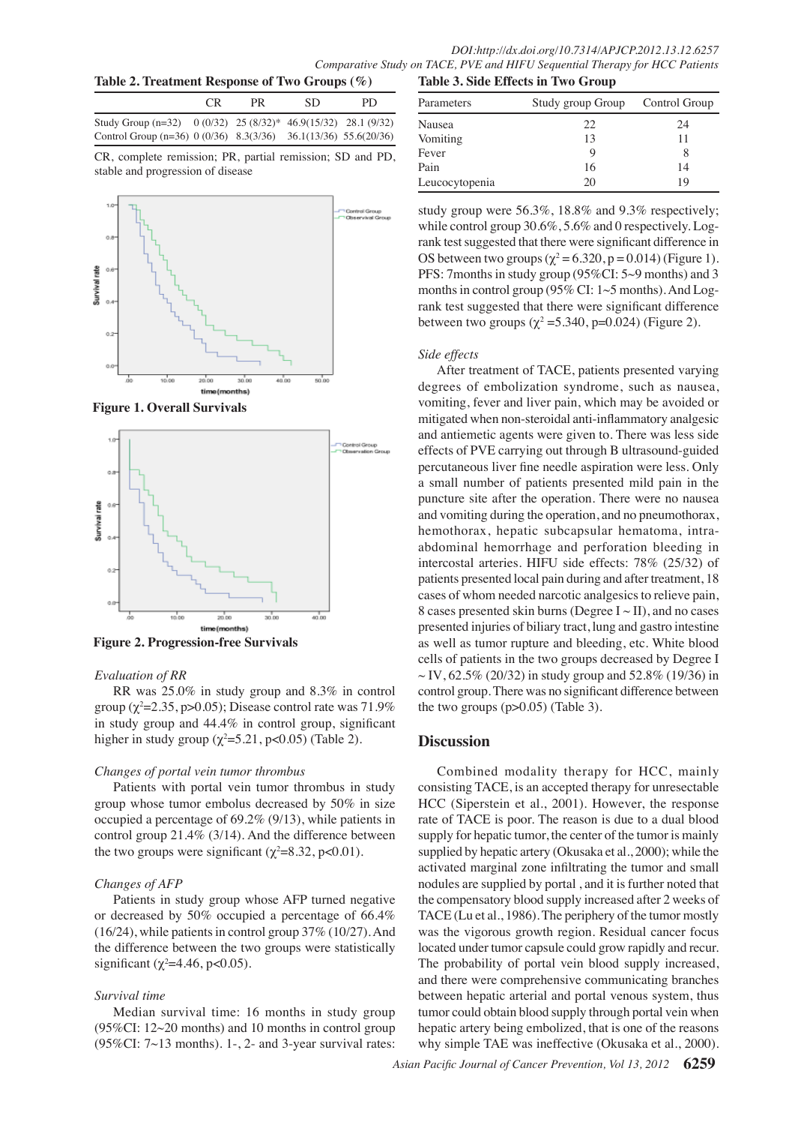| Table 2. Treatment Response of Two Groups (%) |  |
|-----------------------------------------------|--|
|-----------------------------------------------|--|

|                                                                  | CR. | PR. | SD. | PD |
|------------------------------------------------------------------|-----|-----|-----|----|
| Study Group $(n=32)$ 0 (0/32) 25 (8/32)* 46.9(15/32) 28.1 (9/32) |     |     |     |    |
| Control Group (n=36) 0 (0/36) 8.3(3/36) 36.1(13/36) 55.6(20/36)  |     |     |     |    |

CR, complete remission; PR, partial remission; SD and PD, stable and progression of disease



**Figure 1. Overall Survivals** 



**Figure 2. Progression-free Survivals**

#### *Evaluation of RR*

RR was 25.0% in study group and 8.3% in control group ( $\chi^2$ =2.35, p>0.05); Disease control rate was 71.9% in study group and 44.4% in control group, significant higher in study group  $(\chi^2 = 5.21, \text{p} < 0.05)$  (Table 2).

## *Changes of portal vein tumor thrombus*

Patients with portal vein tumor thrombus in study group whose tumor embolus decreased by 50% in size occupied a percentage of 69.2% (9/13), while patients in control group 21.4% (3/14). And the difference between the two groups were significant ( $\chi^2$ =8.32, p<0.01).

## *Changes of AFP*

Patients in study group whose AFP turned negative or decreased by 50% occupied a percentage of 66.4% (16/24), while patients in control group 37% (10/27). And the difference between the two groups were statistically significant ( $\chi^2$ =4.46, p<0.05).

## *Survival time*

Median survival time: 16 months in study group (95%CI: 12~20 months) and 10 months in control group  $(95\%CI: 7~13$  months). 1-, 2- and 3-year survival rates:

| Table 3. Side Effects in Two Group |  |  |  |  |  |  |
|------------------------------------|--|--|--|--|--|--|
|------------------------------------|--|--|--|--|--|--|

| Parameters     | Study group Group | Control Group |
|----------------|-------------------|---------------|
| Nausea         | 22                | 24            |
| Vomiting       | 13                | 11            |
| Fever          |                   |               |
| Pain           | 16                | 14            |
| Leucocytopenia | 20                | 19            |

months in control group (95% CI:  $1{\sim}5$  months). And Log- $75.0$ rank test suggested that there were significant difference in 00.0 study group were 56.3%, 18.8% and 9.3% respectively; while control group 30.6%, 5.6% and 0 respectively. Log-OS between two groups ( $\chi^2$  = 6.320, p = 0.014) (Figure 1). PFS: 7months in study group (95%CI: 5~9 months) and 3 rank test suggested that there were significant difference between two groups ( $\chi^2$  = 5.340, p=0.024) (Figure 2).

#### *Side effects*

0 vomiting, fever and liver pain, which may be avoided or 25.0 After treatment of TACE, patients presented varying degrees of embolization syndrome, such as nausea, mitigated when non-steroidal anti-inflammatory analgesic and antiemetic agents were given to. There was less side effects of PVE carrying out through B ultrasound-guided percutaneous liver fine needle aspiration were less. Only a small number of patients presented mild pain in the puncture site after the operation. There were no nausea and vomiting during the operation, and no pneumothorax, hemothorax, hepatic subcapsular hematoma, intraabdominal hemorrhage and perforation bleeding in intercostal arteries. HIFU side effects: 78% (25/32) of patients presented local pain during and after treatment, 18 cases of whom needed narcotic analgesics to relieve pain, 8 cases presented skin burns (Degree  $I \sim II$ ), and no cases presented injuries of biliary tract, lung and gastro intestine as well as tumor rupture and bleeding, etc. White blood cells of patients in the two groups decreased by Degree I  $\sim$  IV, 62.5% (20/32) in study group and 52.8% (19/36) in control group. There was no significant difference between the two groups  $(p>0.05)$  (Table 3).

## **Discussion**

Combined modality therapy for HCC, mainly consisting TACE, is an accepted therapy for unresectable HCC (Siperstein et al., 2001). However, the response rate of TACE is poor. The reason is due to a dual blood supply for hepatic tumor, the center of the tumor is mainly supplied by hepatic artery (Okusaka et al., 2000); while the activated marginal zone infiltrating the tumor and small nodules are supplied by portal , and it is further noted that the compensatory blood supply increased after 2 weeks of TACE (Lu et al., 1986). The periphery of the tumor mostly was the vigorous growth region. Residual cancer focus located under tumor capsule could grow rapidly and recur. The probability of portal vein blood supply increased, and there were comprehensive communicating branches between hepatic arterial and portal venous system, thus tumor could obtain blood supply through portal vein when hepatic artery being embolized, that is one of the reasons why simple TAE was ineffective (Okusaka et al., 2000).

50.0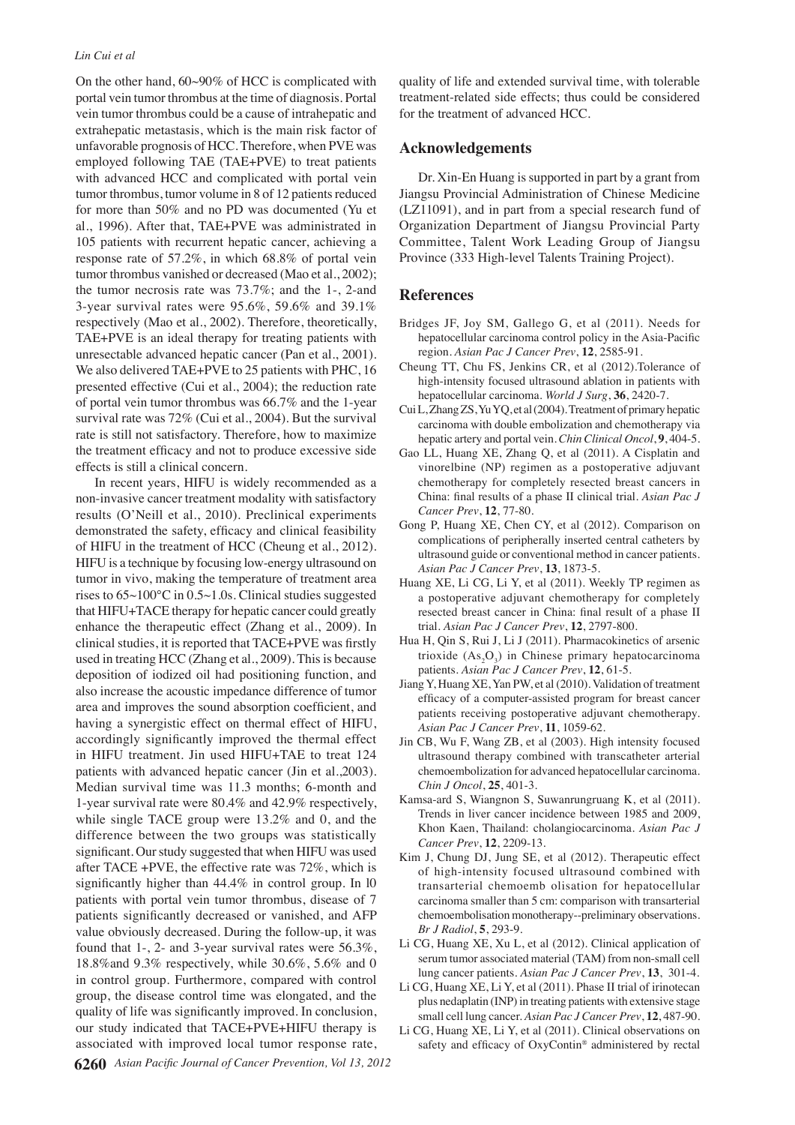On the other hand, 60~90% of HCC is complicated with portal vein tumor thrombus at the time of diagnosis. Portal vein tumor thrombus could be a cause of intrahepatic and extrahepatic metastasis, which is the main risk factor of unfavorable prognosis of HCC. Therefore, when PVE was employed following TAE (TAE+PVE) to treat patients with advanced HCC and complicated with portal vein tumor thrombus, tumor volume in 8 of 12 patients reduced for more than 50% and no PD was documented (Yu et al., 1996). After that, TAE+PVE was administrated in 105 patients with recurrent hepatic cancer, achieving a response rate of 57.2%, in which 68.8% of portal vein tumor thrombus vanished or decreased (Mao et al., 2002); the tumor necrosis rate was 73.7%; and the 1-, 2-and 3-year survival rates were 95.6%, 59.6% and 39.1% respectively (Mao et al., 2002). Therefore, theoretically, TAE+PVE is an ideal therapy for treating patients with unresectable advanced hepatic cancer (Pan et al., 2001). We also delivered TAE+PVE to 25 patients with PHC, 16 presented effective (Cui et al., 2004); the reduction rate of portal vein tumor thrombus was 66.7% and the 1-year survival rate was 72% (Cui et al., 2004). But the survival rate is still not satisfactory. Therefore, how to maximize the treatment efficacy and not to produce excessive side effects is still a clinical concern.

In recent years, HIFU is widely recommended as a non-invasive cancer treatment modality with satisfactory results (O'Neill et al., 2010). Preclinical experiments demonstrated the safety, efficacy and clinical feasibility of HIFU in the treatment of HCC (Cheung et al., 2012). HIFU is a technique by focusing low-energy ultrasound on tumor in vivo, making the temperature of treatment area rises to 65~100℃ in 0.5~1.0s. Clinical studies suggested that HIFU+TACE therapy for hepatic cancer could greatly enhance the therapeutic effect (Zhang et al., 2009). In clinical studies, it is reported that TACE+PVE was firstly used in treating HCC (Zhang et al., 2009). This is because deposition of iodized oil had positioning function, and also increase the acoustic impedance difference of tumor area and improves the sound absorption coefficient, and having a synergistic effect on thermal effect of HIFU, accordingly significantly improved the thermal effect in HIFU treatment. Jin used HIFU+TAE to treat 124 patients with advanced hepatic cancer (Jin et al.,2003). Median survival time was 11.3 months; 6-month and 1-year survival rate were 80.4% and 42.9% respectively, while single TACE group were 13.2% and 0, and the difference between the two groups was statistically significant. Our study suggested that when HIFU was used after TACE +PVE, the effective rate was 72%, which is significantly higher than  $44.4\%$  in control group. In 10 patients with portal vein tumor thrombus, disease of 7 patients significantly decreased or vanished, and AFP value obviously decreased. During the follow-up, it was found that 1-, 2- and 3-year survival rates were 56.3%, 18.8%and 9.3% respectively, while 30.6%, 5.6% and 0 in control group. Furthermore, compared with control group, the disease control time was elongated, and the quality of life was significantly improved. In conclusion, our study indicated that TACE+PVE+HIFU therapy is associated with improved local tumor response rate,

quality of life and extended survival time, with tolerable treatment-related side effects; thus could be considered for the treatment of advanced HCC.

### **Acknowledgements**

Dr. Xin-En Huang is supported in part by a grant from Jiangsu Provincial Administration of Chinese Medicine (LZ11091), and in part from a special research fund of Organization Department of Jiangsu Provincial Party Committee, Talent Work Leading Group of Jiangsu Province (333 High-level Talents Training Project).

#### **References**

- Bridges JF, Joy SM, Gallego G, et al (2011). Needs for hepatocellular carcinoma control policy in the Asia-Pacific region. *Asian Pac J Cancer Prev*, **12**, 2585-91.
- Cheung TT, Chu FS, Jenkins CR, et al (2012).Tolerance of high-intensity focused ultrasound ablation in patients with hepatocellular carcinoma. *World J Surg*, **36**, 2420-7.
- Cui L, Zhang ZS, Yu YQ, et al (2004). Treatment of primary hepatic carcinoma with double embolization and chemotherapy via hepatic artery and portal vein. *Chin Clinical Oncol*, **9**, 404-5.
- Gao LL, Huang XE, Zhang Q, et al (2011). A Cisplatin and vinorelbine (NP) regimen as a postoperative adjuvant chemotherapy for completely resected breast cancers in China: final results of a phase II clinical trial. *Asian Pac J Cancer Prev*, **12**, 77-80.
- Gong P, Huang XE, Chen CY, et al (2012). Comparison on complications of peripherally inserted central catheters by ultrasound guide or conventional method in cancer patients. *Asian Pac J Cancer Prev*, **13**, 1873-5.
- Huang XE, Li CG, Li Y, et al (2011). Weekly TP regimen as a postoperative adjuvant chemotherapy for completely resected breast cancer in China: final result of a phase II trial. *Asian Pac J Cancer Prev*, **12**, 2797-800.
- Hua H, Qin S, Rui J, Li J (2011). Pharmacokinetics of arsenic trioxide  $(As<sub>2</sub>O<sub>3</sub>)$  in Chinese primary hepatocarcinoma patients. *Asian Pac J Cancer Prev*, **12**, 61-5.
- Jiang Y, Huang XE, Yan PW, et al (2010). Validation of treatment efficacy of a computer-assisted program for breast cancer patients receiving postoperative adjuvant chemotherapy. *Asian Pac J Cancer Prev*, **11**, 1059-62.
- Jin CB, Wu F, Wang ZB, et al (2003). High intensity focused ultrasound therapy combined with transcatheter arterial chemoembolization for advanced hepatocellular carcinoma. *Chin J Oncol*, **25**, 401-3.
- Kamsa-ard S, Wiangnon S, Suwanrungruang K, et al (2011). Trends in liver cancer incidence between 1985 and 2009, Khon Kaen, Thailand: cholangiocarcinoma. *Asian Pac J Cancer Prev*, **12**, 2209-13.
- Kim J, Chung DJ, Jung SE, et al (2012). Therapeutic effect of high-intensity focused ultrasound combined with transarterial chemoemb olisation for hepatocellular carcinoma smaller than 5 cm: comparison with transarterial chemoembolisation monotherapy--preliminary observations. *Br J Radiol*, **5**, 293-9.
- Li CG, Huang XE, Xu L, et al (2012). Clinical application of serum tumor associated material (TAM) from non-small cell lung cancer patients. *Asian Pac J Cancer Prev*, **13**, 301-4.
- Li CG, Huang XE, Li Y, et al (2011). Phase II trial of irinotecan plus nedaplatin (INP) in treating patients with extensive stage small cell lung cancer. *Asian Pac J Cancer Prev*, **12**, 487-90.
- Li CG, Huang XE, Li Y, et al (2011). Clinical observations on safety and efficacy of OxyContin® administered by rectal